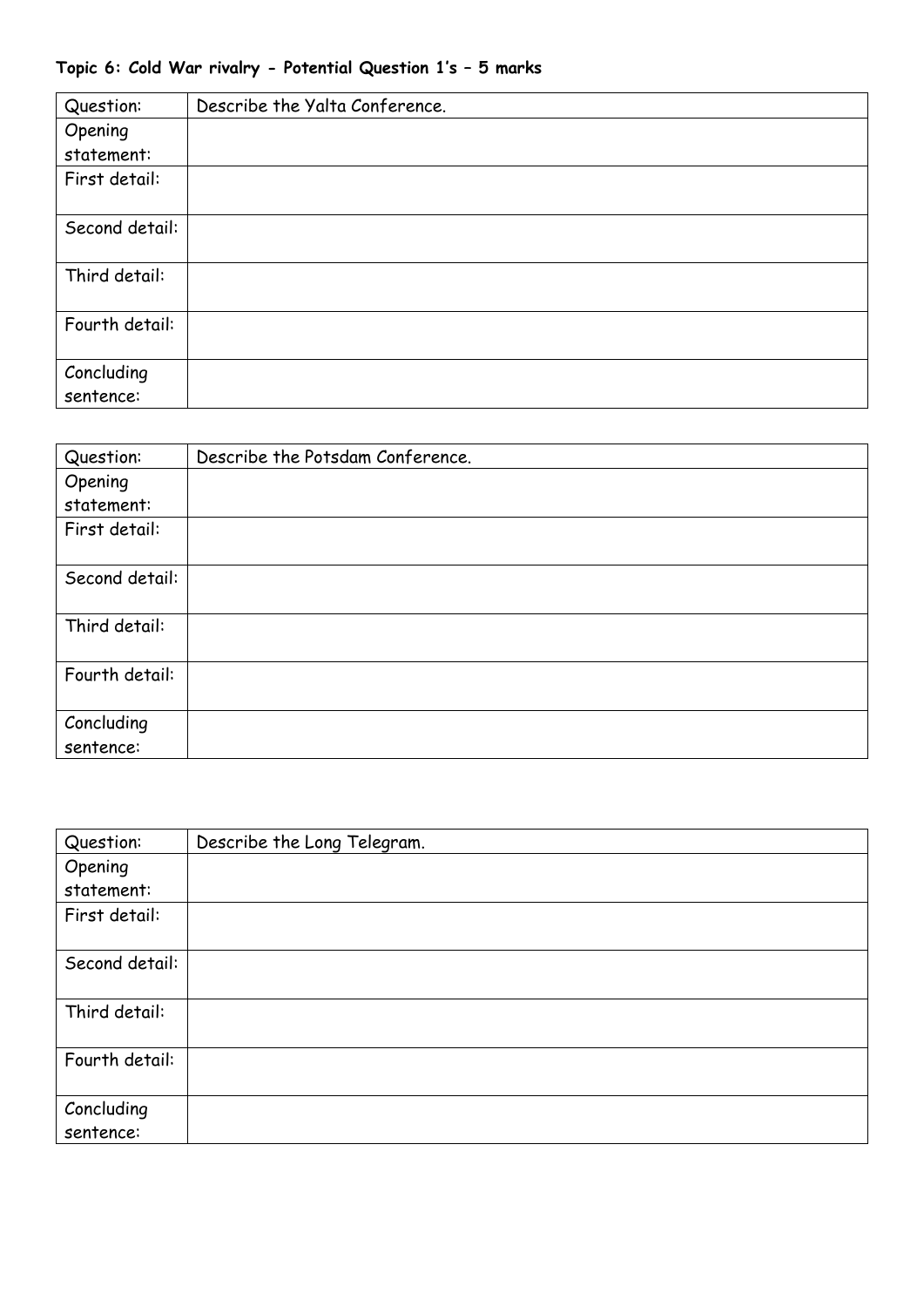## **Topic 6: Cold War rivalry - Potential Question 1's – 5 marks**

| Question:               | Describe the Yalta Conference. |
|-------------------------|--------------------------------|
| Opening                 |                                |
| statement:              |                                |
| First detail:           |                                |
| Second detail:          |                                |
| Third detail:           |                                |
| Fourth detail:          |                                |
| Concluding<br>sentence: |                                |

| Question:               | Describe the Potsdam Conference. |
|-------------------------|----------------------------------|
| Opening                 |                                  |
| statement:              |                                  |
| First detail:           |                                  |
| Second detail:          |                                  |
| Third detail:           |                                  |
| Fourth detail:          |                                  |
| Concluding<br>sentence: |                                  |

| Question:               | Describe the Long Telegram. |
|-------------------------|-----------------------------|
| Opening                 |                             |
| statement:              |                             |
| First detail:           |                             |
|                         |                             |
| Second detail:          |                             |
| Third detail:           |                             |
| Fourth detail:          |                             |
| Concluding<br>sentence: |                             |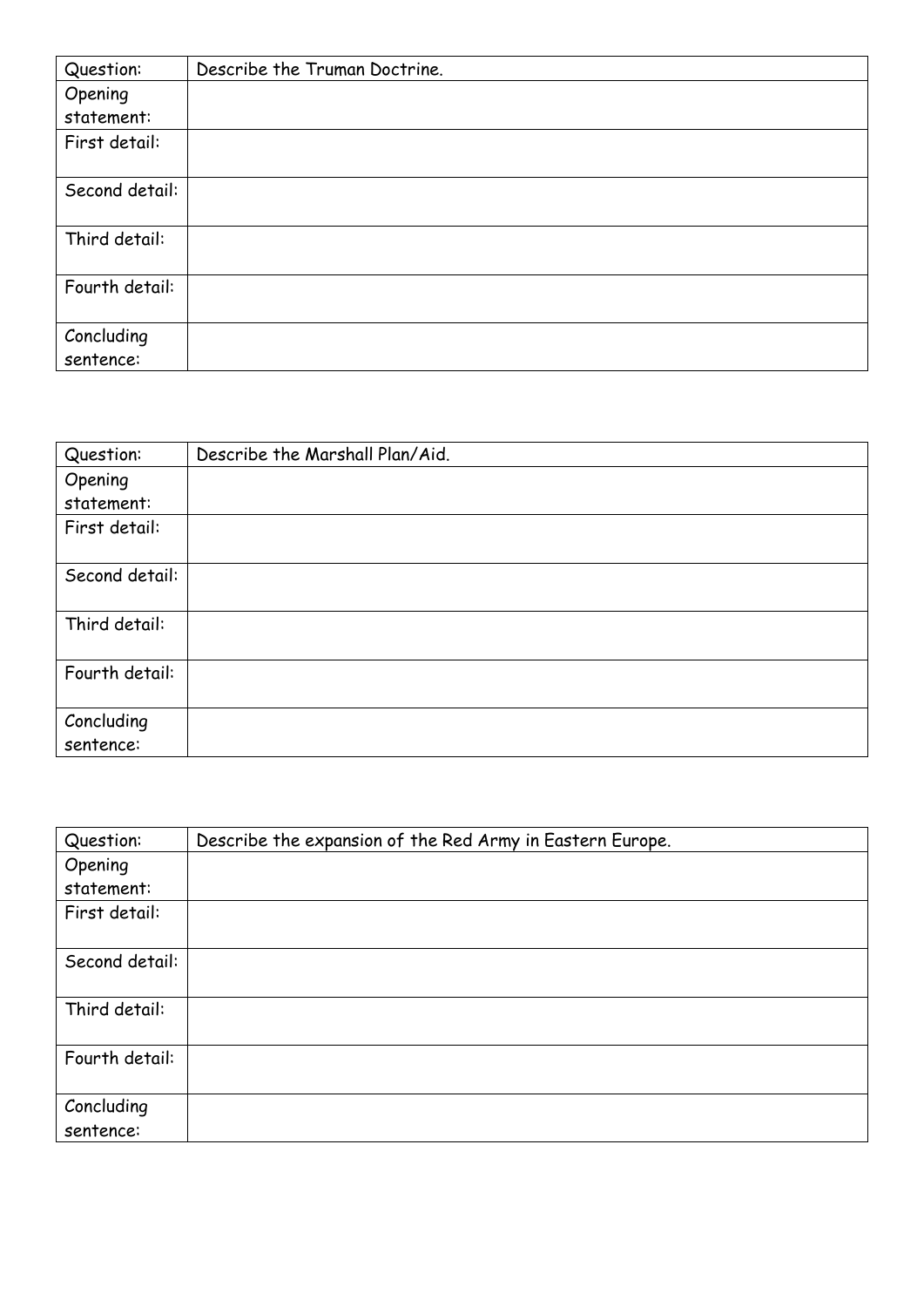| Question:      | Describe the Truman Doctrine. |
|----------------|-------------------------------|
| Opening        |                               |
| statement:     |                               |
| First detail:  |                               |
|                |                               |
| Second detail: |                               |
|                |                               |
| Third detail:  |                               |
|                |                               |
| Fourth detail: |                               |
|                |                               |
| Concluding     |                               |
| sentence:      |                               |

| Question:               | Describe the Marshall Plan/Aid. |
|-------------------------|---------------------------------|
| Opening                 |                                 |
| statement:              |                                 |
| First detail:           |                                 |
|                         |                                 |
| Second detail:          |                                 |
| Third detail:           |                                 |
| Fourth detail:          |                                 |
| Concluding<br>sentence: |                                 |

| Question:               | Describe the expansion of the Red Army in Eastern Europe. |
|-------------------------|-----------------------------------------------------------|
| Opening                 |                                                           |
| statement:              |                                                           |
| First detail:           |                                                           |
| Second detail:          |                                                           |
| Third detail:           |                                                           |
| Fourth detail:          |                                                           |
| Concluding<br>sentence: |                                                           |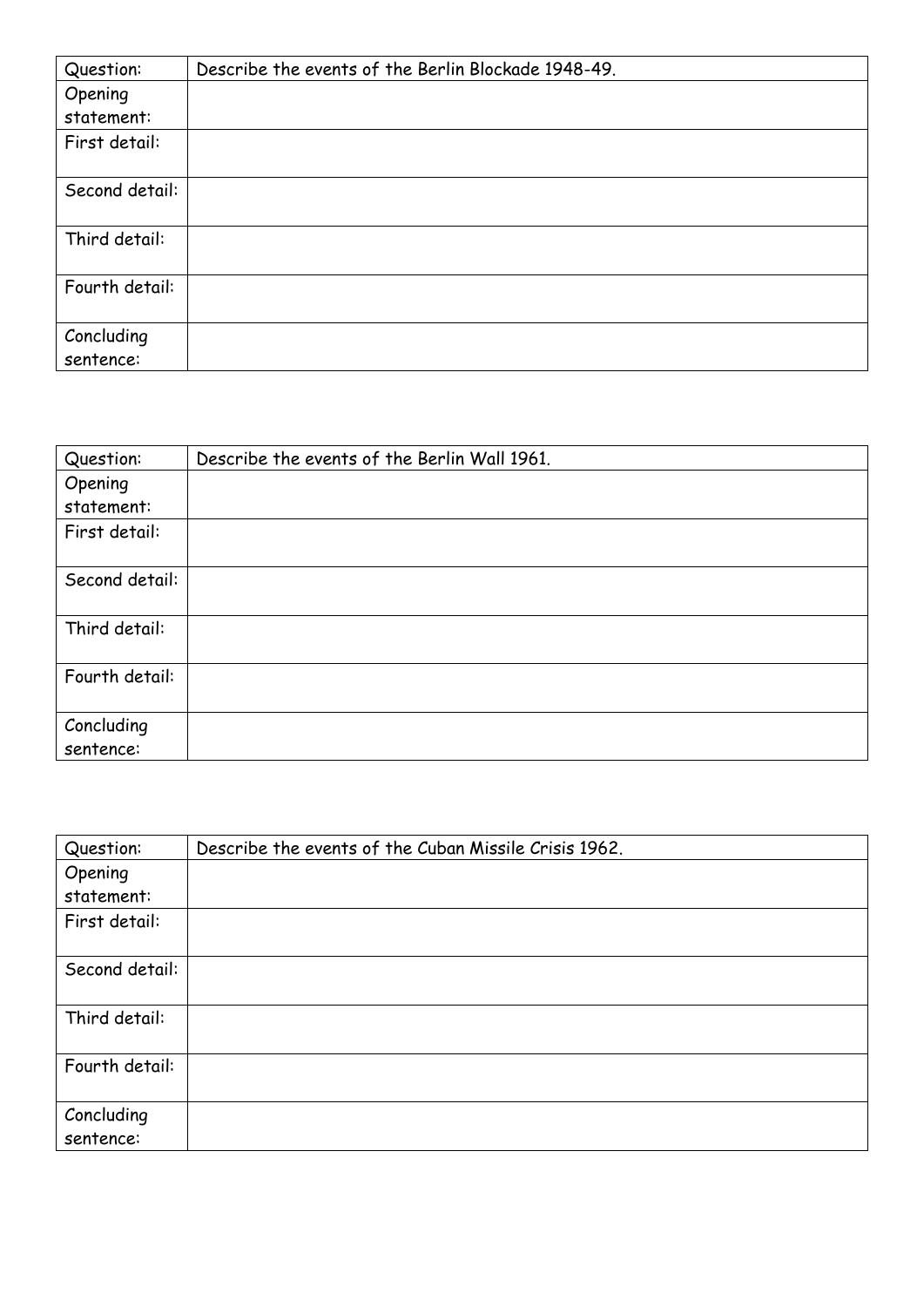| Question:               | Describe the events of the Berlin Blockade 1948-49. |
|-------------------------|-----------------------------------------------------|
| Opening                 |                                                     |
| statement:              |                                                     |
| First detail:           |                                                     |
| Second detail:          |                                                     |
| Third detail:           |                                                     |
| Fourth detail:          |                                                     |
| Concluding<br>sentence: |                                                     |

| Question:               | Describe the events of the Berlin Wall 1961. |
|-------------------------|----------------------------------------------|
| Opening                 |                                              |
| statement:              |                                              |
| First detail:           |                                              |
| Second detail:          |                                              |
| Third detail:           |                                              |
| Fourth detail:          |                                              |
| Concluding<br>sentence: |                                              |

| Question:               | Describe the events of the Cuban Missile Crisis 1962. |
|-------------------------|-------------------------------------------------------|
| Opening                 |                                                       |
| statement:              |                                                       |
| First detail:           |                                                       |
| Second detail:          |                                                       |
| Third detail:           |                                                       |
| Fourth detail:          |                                                       |
| Concluding<br>sentence: |                                                       |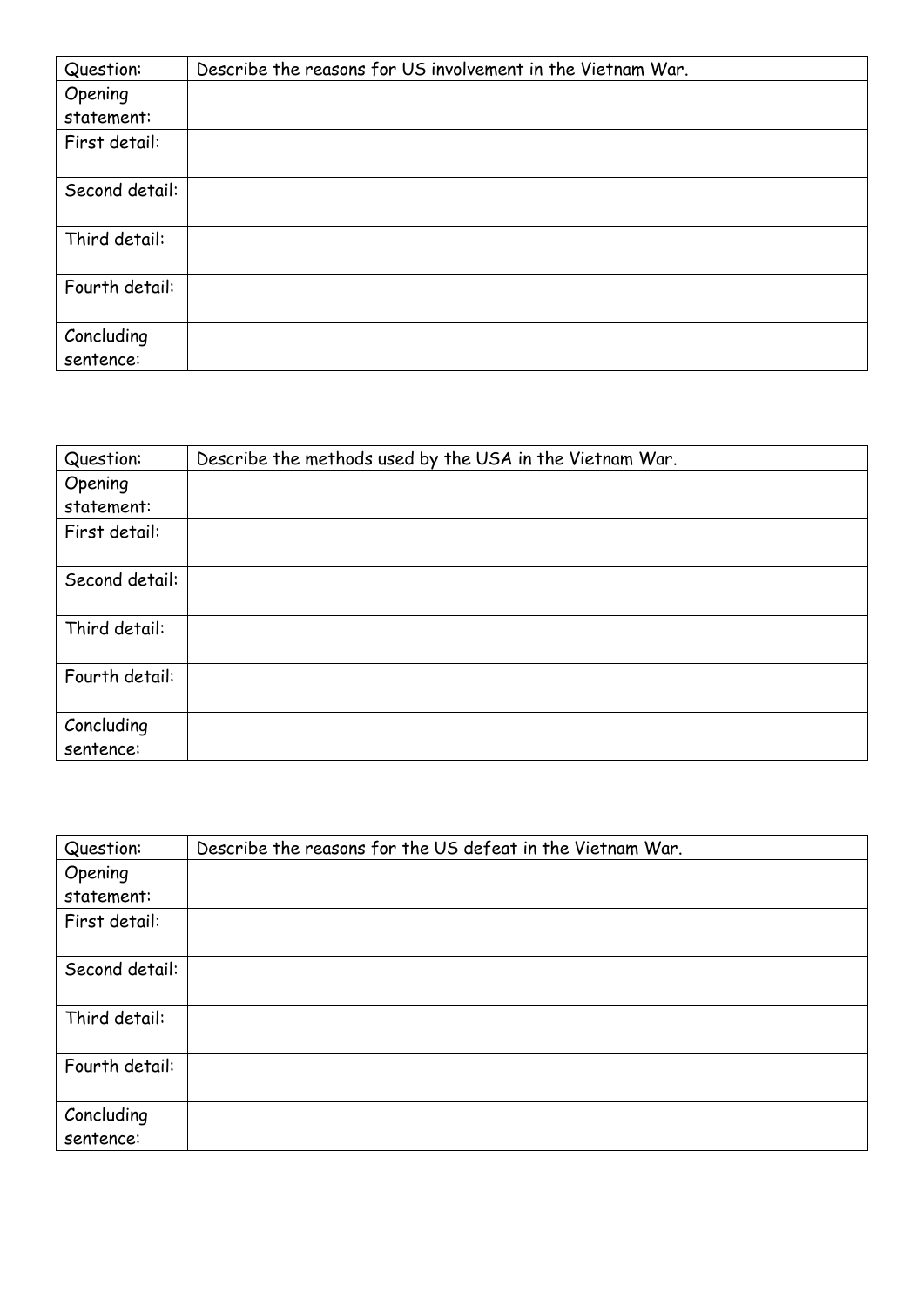| Question:               | Describe the reasons for US involvement in the Vietnam War. |
|-------------------------|-------------------------------------------------------------|
| Opening                 |                                                             |
| statement:              |                                                             |
| First detail:           |                                                             |
| Second detail:          |                                                             |
| Third detail:           |                                                             |
| Fourth detail:          |                                                             |
| Concluding<br>sentence: |                                                             |

| Question:               | Describe the methods used by the USA in the Vietnam War. |
|-------------------------|----------------------------------------------------------|
| Opening                 |                                                          |
| statement:              |                                                          |
| First detail:           |                                                          |
| Second detail:          |                                                          |
| Third detail:           |                                                          |
| Fourth detail:          |                                                          |
| Concluding<br>sentence: |                                                          |

| Question:               | Describe the reasons for the US defeat in the Vietnam War. |
|-------------------------|------------------------------------------------------------|
| Opening                 |                                                            |
| statement:              |                                                            |
| First detail:           |                                                            |
| Second detail:          |                                                            |
| Third detail:           |                                                            |
| Fourth detail:          |                                                            |
| Concluding<br>sentence: |                                                            |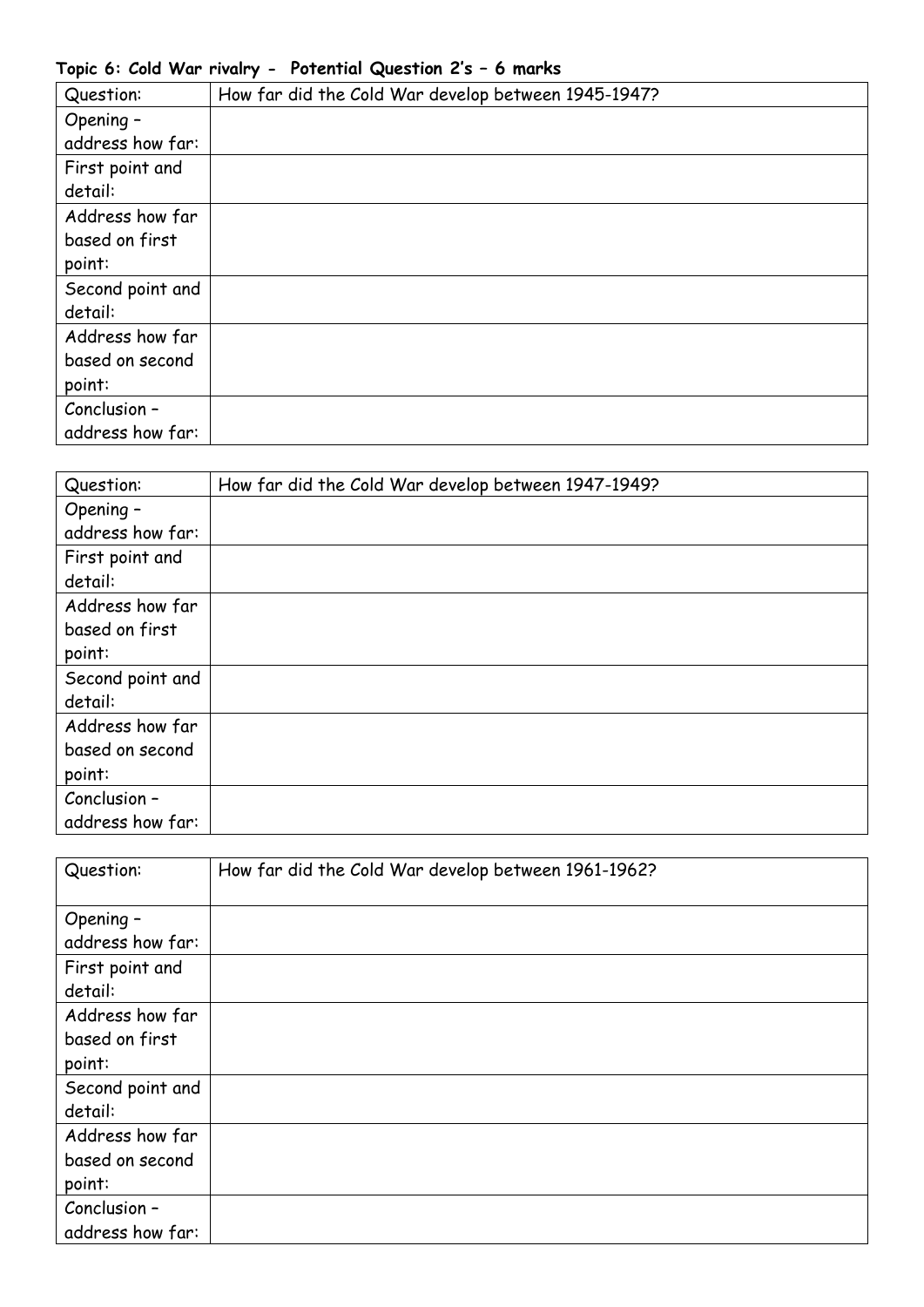## **Topic 6: Cold War rivalry - Potential Question 2's – 6 marks**

| Question:        | How far did the Cold War develop between 1945-1947? |
|------------------|-----------------------------------------------------|
| Opening -        |                                                     |
| address how far: |                                                     |
| First point and  |                                                     |
| detail:          |                                                     |
| Address how far  |                                                     |
| based on first   |                                                     |
| point:           |                                                     |
| Second point and |                                                     |
| detail:          |                                                     |
| Address how far  |                                                     |
| based on second  |                                                     |
| point:           |                                                     |
| Conclusion -     |                                                     |
| address how far: |                                                     |

| Question:        | How far did the Cold War develop between 1947-1949? |
|------------------|-----------------------------------------------------|
| Opening -        |                                                     |
| address how far: |                                                     |
| First point and  |                                                     |
| detail:          |                                                     |
| Address how far  |                                                     |
| based on first   |                                                     |
| point:           |                                                     |
| Second point and |                                                     |
| detail:          |                                                     |
| Address how far  |                                                     |
| based on second  |                                                     |
| point:           |                                                     |
| Conclusion -     |                                                     |
| address how far: |                                                     |

| Question:        | How far did the Cold War develop between 1961-1962? |
|------------------|-----------------------------------------------------|
| Opening -        |                                                     |
| address how far: |                                                     |
| First point and  |                                                     |
| detail:          |                                                     |
| Address how far  |                                                     |
| based on first   |                                                     |
| point:           |                                                     |
| Second point and |                                                     |
| detail:          |                                                     |
| Address how far  |                                                     |
| based on second  |                                                     |
| point:           |                                                     |
| Conclusion -     |                                                     |
| address how far: |                                                     |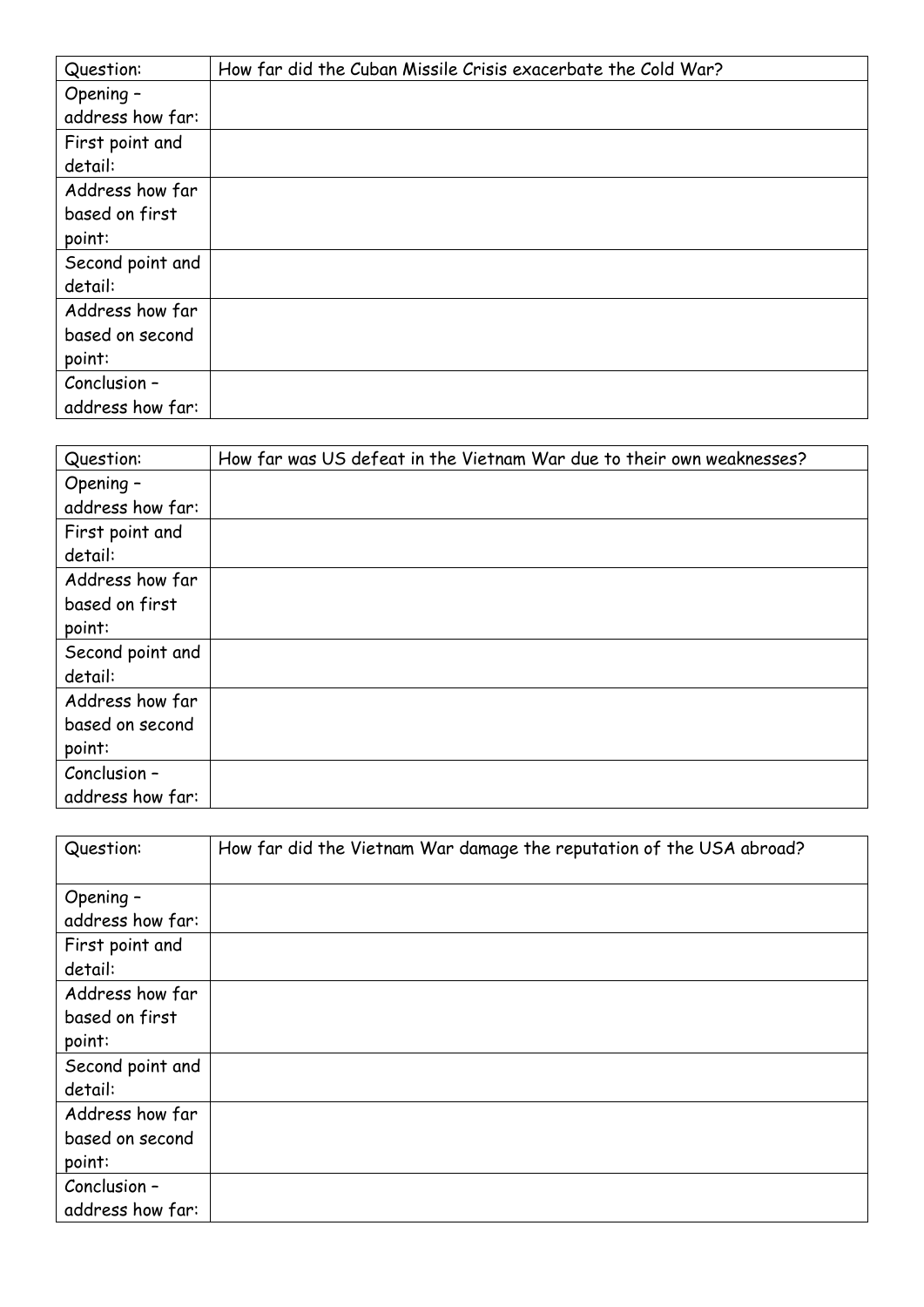| Question:        | How far did the Cuban Missile Crisis exacerbate the Cold War? |
|------------------|---------------------------------------------------------------|
| Opening -        |                                                               |
| address how far: |                                                               |
| First point and  |                                                               |
| detail:          |                                                               |
| Address how far  |                                                               |
| based on first   |                                                               |
| point:           |                                                               |
| Second point and |                                                               |
| detail:          |                                                               |
| Address how far  |                                                               |
| based on second  |                                                               |
| point:           |                                                               |
| Conclusion -     |                                                               |
| address how far: |                                                               |

| Question:        | How far was US defeat in the Vietnam War due to their own weaknesses? |
|------------------|-----------------------------------------------------------------------|
| Opening -        |                                                                       |
| address how far: |                                                                       |
| First point and  |                                                                       |
| detail:          |                                                                       |
| Address how far  |                                                                       |
| based on first   |                                                                       |
| point:           |                                                                       |
| Second point and |                                                                       |
| detail:          |                                                                       |
| Address how far  |                                                                       |
| based on second  |                                                                       |
| point:           |                                                                       |
| Conclusion -     |                                                                       |
| address how far: |                                                                       |

| Question:        | How far did the Vietnam War damage the reputation of the USA abroad? |
|------------------|----------------------------------------------------------------------|
| Opening -        |                                                                      |
| address how far: |                                                                      |
| First point and  |                                                                      |
| detail:          |                                                                      |
| Address how far  |                                                                      |
| based on first   |                                                                      |
| point:           |                                                                      |
| Second point and |                                                                      |
| detail:          |                                                                      |
| Address how far  |                                                                      |
| based on second  |                                                                      |
| point:           |                                                                      |
| Conclusion -     |                                                                      |
| address how far: |                                                                      |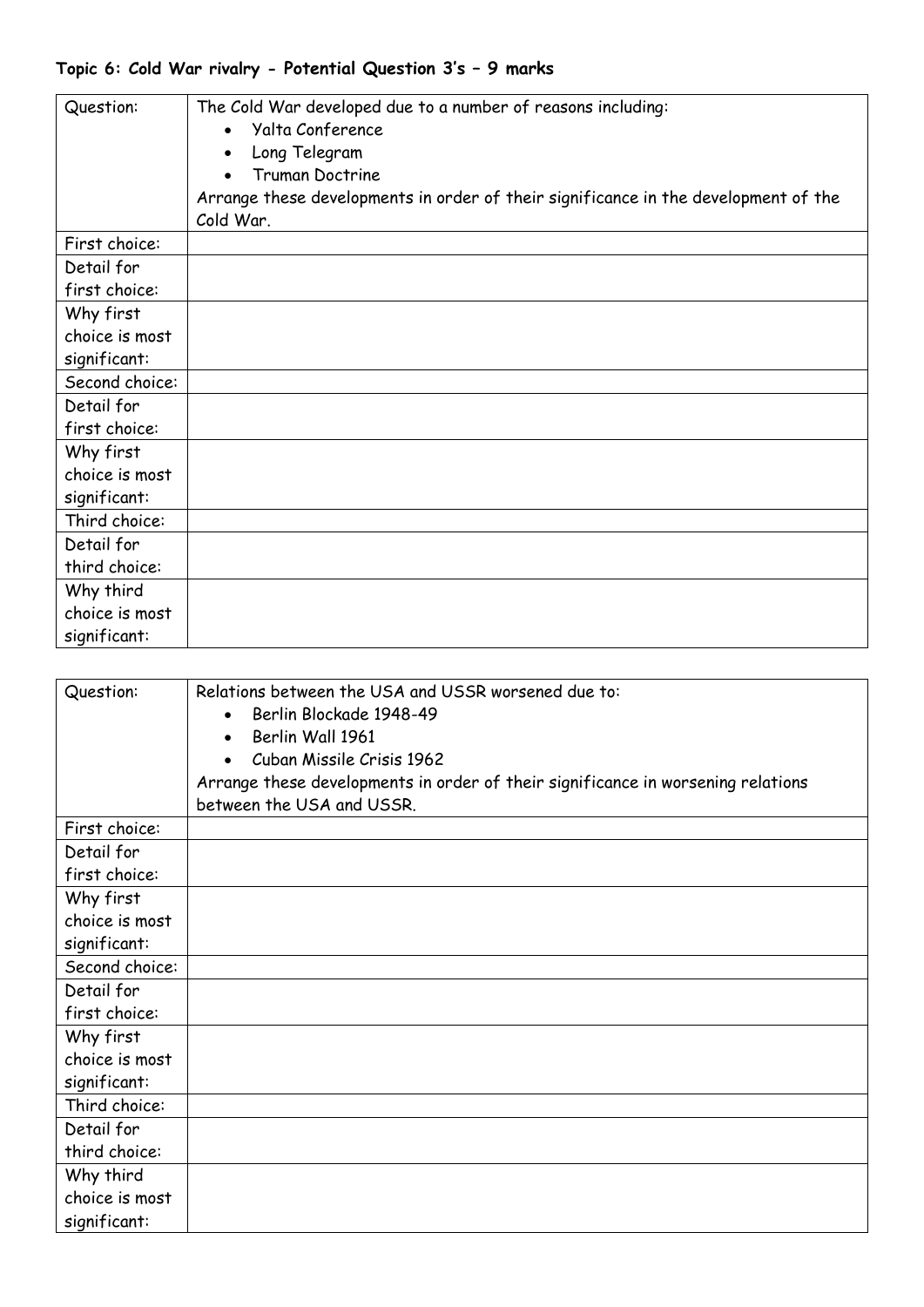## **Topic 6: Cold War rivalry - Potential Question 3's – 9 marks**

| Question:      | The Cold War developed due to a number of reasons including:<br><b>Yalta Conference</b><br>Long Telegram<br><b>Truman Doctrine</b><br>Arrange these developments in order of their significance in the development of the<br>Cold War. |
|----------------|----------------------------------------------------------------------------------------------------------------------------------------------------------------------------------------------------------------------------------------|
| First choice:  |                                                                                                                                                                                                                                        |
| Detail for     |                                                                                                                                                                                                                                        |
| first choice:  |                                                                                                                                                                                                                                        |
| Why first      |                                                                                                                                                                                                                                        |
| choice is most |                                                                                                                                                                                                                                        |
| significant:   |                                                                                                                                                                                                                                        |
| Second choice: |                                                                                                                                                                                                                                        |
| Detail for     |                                                                                                                                                                                                                                        |
| first choice:  |                                                                                                                                                                                                                                        |
| Why first      |                                                                                                                                                                                                                                        |
| choice is most |                                                                                                                                                                                                                                        |
| significant:   |                                                                                                                                                                                                                                        |
| Third choice:  |                                                                                                                                                                                                                                        |
| Detail for     |                                                                                                                                                                                                                                        |
| third choice:  |                                                                                                                                                                                                                                        |
| Why third      |                                                                                                                                                                                                                                        |
| choice is most |                                                                                                                                                                                                                                        |
| significant:   |                                                                                                                                                                                                                                        |

| Question:      | Relations between the USA and USSR worsened due to:<br>Berlin Blockade 1948-49<br>Berlin Wall 1961<br>Cuban Missile Crisis 1962<br>Arrange these developments in order of their significance in worsening relations |
|----------------|---------------------------------------------------------------------------------------------------------------------------------------------------------------------------------------------------------------------|
|                | between the USA and USSR.                                                                                                                                                                                           |
| First choice:  |                                                                                                                                                                                                                     |
| Detail for     |                                                                                                                                                                                                                     |
| first choice:  |                                                                                                                                                                                                                     |
| Why first      |                                                                                                                                                                                                                     |
| choice is most |                                                                                                                                                                                                                     |
| significant:   |                                                                                                                                                                                                                     |
| Second choice: |                                                                                                                                                                                                                     |
| Detail for     |                                                                                                                                                                                                                     |
| first choice:  |                                                                                                                                                                                                                     |
| Why first      |                                                                                                                                                                                                                     |
| choice is most |                                                                                                                                                                                                                     |
| significant:   |                                                                                                                                                                                                                     |
| Third choice:  |                                                                                                                                                                                                                     |
| Detail for     |                                                                                                                                                                                                                     |
| third choice:  |                                                                                                                                                                                                                     |
| Why third      |                                                                                                                                                                                                                     |
| choice is most |                                                                                                                                                                                                                     |
| significant:   |                                                                                                                                                                                                                     |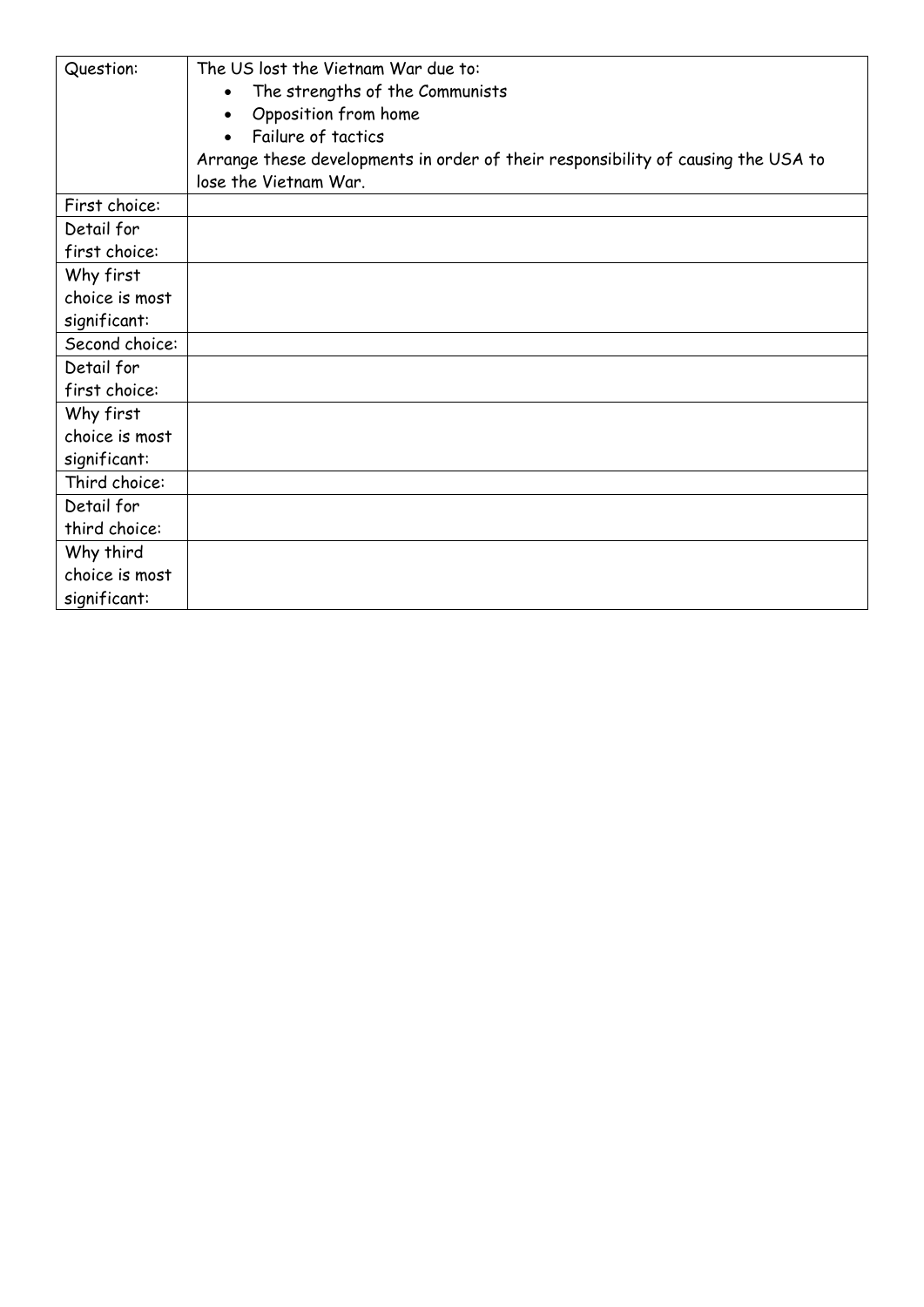| Question:                                   | The US lost the Vietnam War due to:<br>The strengths of the Communists<br>Opposition from home<br>$\bullet$<br>Failure of tactics |
|---------------------------------------------|-----------------------------------------------------------------------------------------------------------------------------------|
|                                             | Arrange these developments in order of their responsibility of causing the USA to<br>lose the Vietnam War.                        |
| First choice:                               |                                                                                                                                   |
| Detail for<br>first choice:                 |                                                                                                                                   |
| Why first<br>choice is most<br>significant: |                                                                                                                                   |
| Second choice:                              |                                                                                                                                   |
| Detail for<br>first choice:                 |                                                                                                                                   |
| Why first<br>choice is most<br>significant: |                                                                                                                                   |
| Third choice:                               |                                                                                                                                   |
| Detail for<br>third choice:                 |                                                                                                                                   |
| Why third<br>choice is most                 |                                                                                                                                   |
| significant:                                |                                                                                                                                   |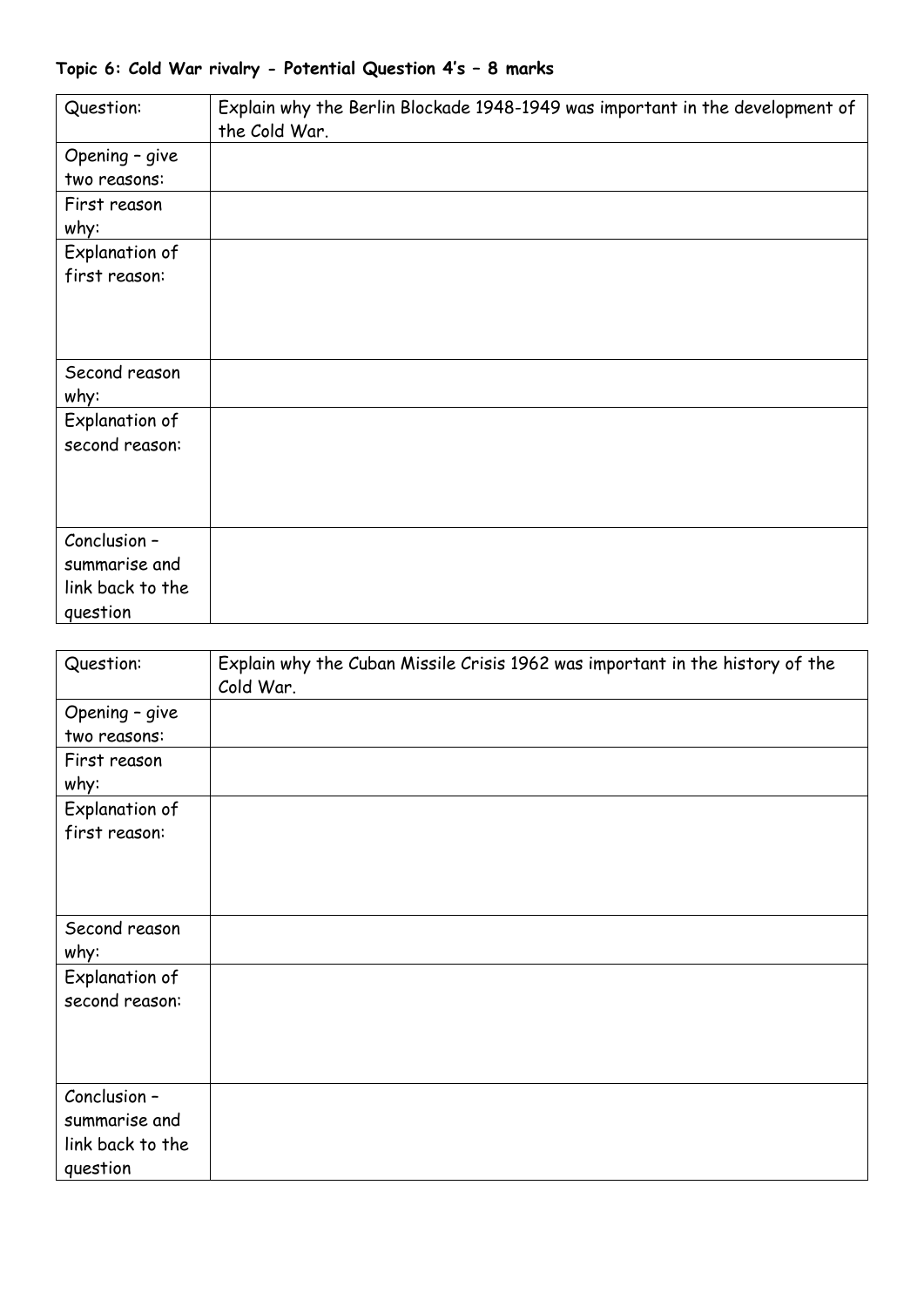## **Topic 6: Cold War rivalry - Potential Question 4's – 8 marks**

| Question:                                                     | Explain why the Berlin Blockade 1948-1949 was important in the development of<br>the Cold War. |
|---------------------------------------------------------------|------------------------------------------------------------------------------------------------|
| Opening - give<br>two reasons:                                |                                                                                                |
| First reason<br>why:                                          |                                                                                                |
| Explanation of<br>first reason:                               |                                                                                                |
| Second reason<br>why:                                         |                                                                                                |
| Explanation of<br>second reason:                              |                                                                                                |
| Conclusion -<br>summarise and<br>link back to the<br>question |                                                                                                |

| Question:        | Explain why the Cuban Missile Crisis 1962 was important in the history of the |
|------------------|-------------------------------------------------------------------------------|
|                  | Cold War.                                                                     |
| Opening - give   |                                                                               |
| two reasons:     |                                                                               |
| First reason     |                                                                               |
| why:             |                                                                               |
| Explanation of   |                                                                               |
| first reason:    |                                                                               |
|                  |                                                                               |
|                  |                                                                               |
|                  |                                                                               |
| Second reason    |                                                                               |
| why:             |                                                                               |
| Explanation of   |                                                                               |
| second reason:   |                                                                               |
|                  |                                                                               |
|                  |                                                                               |
|                  |                                                                               |
| Conclusion -     |                                                                               |
| summarise and    |                                                                               |
| link back to the |                                                                               |
| question         |                                                                               |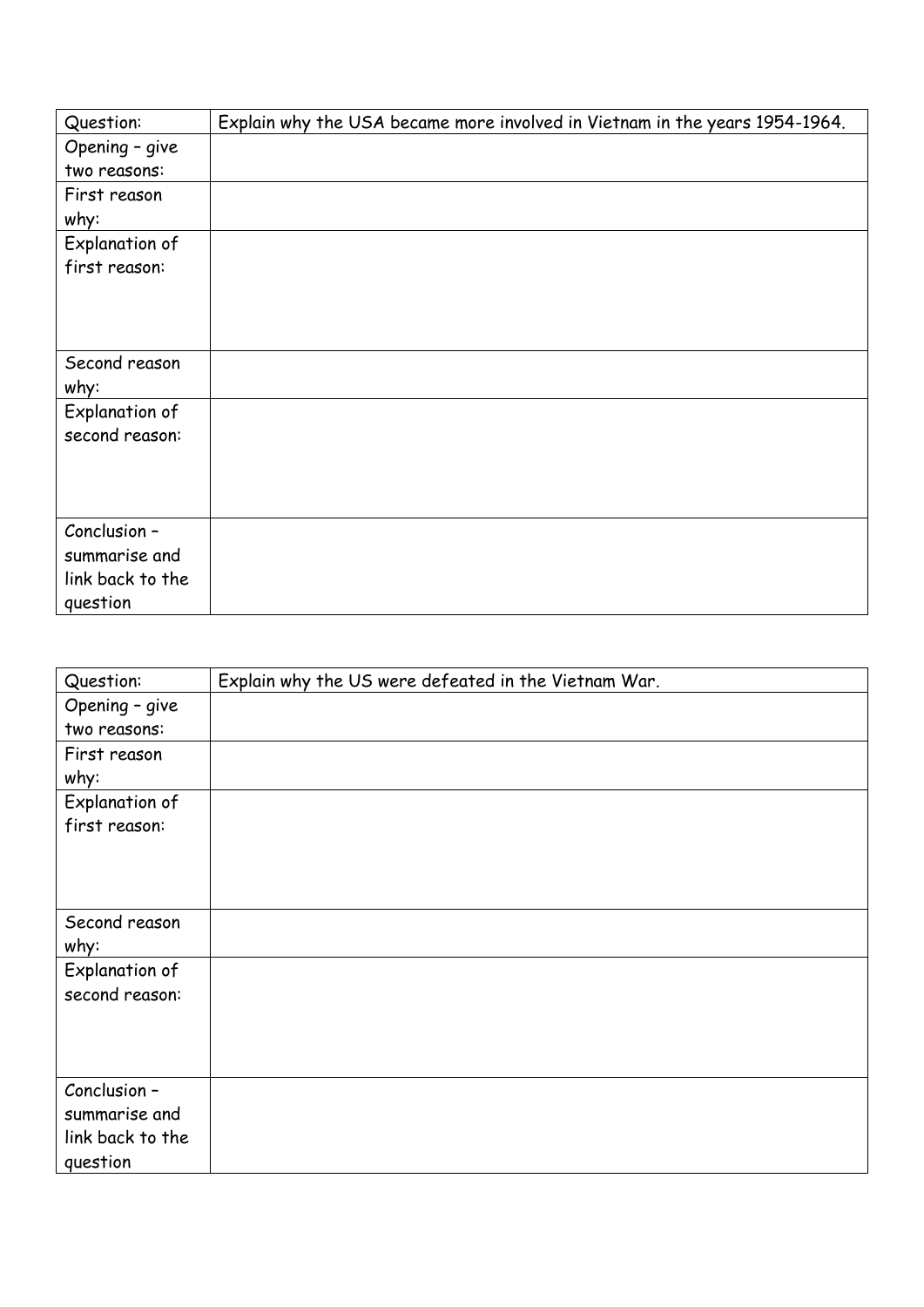| Question:        | Explain why the USA became more involved in Vietnam in the years 1954-1964. |
|------------------|-----------------------------------------------------------------------------|
| Opening - give   |                                                                             |
| two reasons:     |                                                                             |
| First reason     |                                                                             |
| why:             |                                                                             |
| Explanation of   |                                                                             |
| first reason:    |                                                                             |
|                  |                                                                             |
|                  |                                                                             |
|                  |                                                                             |
| Second reason    |                                                                             |
| why:             |                                                                             |
| Explanation of   |                                                                             |
| second reason:   |                                                                             |
|                  |                                                                             |
|                  |                                                                             |
|                  |                                                                             |
| Conclusion -     |                                                                             |
| summarise and    |                                                                             |
| link back to the |                                                                             |
| question         |                                                                             |

| Question:        | Explain why the US were defeated in the Vietnam War. |
|------------------|------------------------------------------------------|
| Opening - give   |                                                      |
| two reasons:     |                                                      |
| First reason     |                                                      |
| why:             |                                                      |
| Explanation of   |                                                      |
| first reason:    |                                                      |
|                  |                                                      |
|                  |                                                      |
|                  |                                                      |
| Second reason    |                                                      |
| why:             |                                                      |
| Explanation of   |                                                      |
| second reason:   |                                                      |
|                  |                                                      |
|                  |                                                      |
|                  |                                                      |
| Conclusion -     |                                                      |
| summarise and    |                                                      |
| link back to the |                                                      |
| question         |                                                      |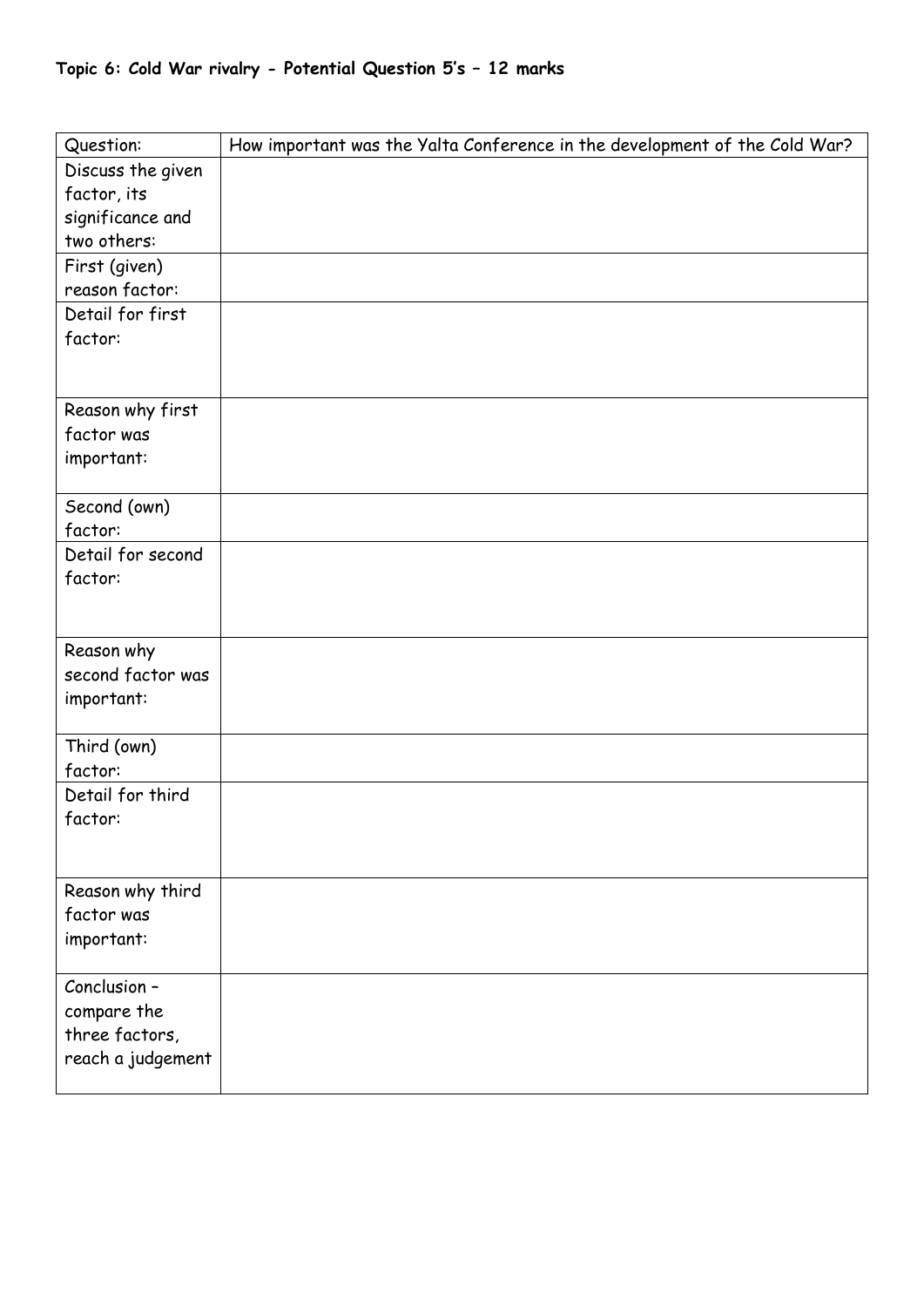|  |  |  |  |  |  | Topic 6: Cold War rivalry - Potential Question 5's – 12 marks |  |  |  |  |
|--|--|--|--|--|--|---------------------------------------------------------------|--|--|--|--|
|--|--|--|--|--|--|---------------------------------------------------------------|--|--|--|--|

| Question:                      | How important was the Yalta Conference in the development of the Cold War? |
|--------------------------------|----------------------------------------------------------------------------|
| Discuss the given              |                                                                            |
| factor, its                    |                                                                            |
| significance and               |                                                                            |
| two others:                    |                                                                            |
| First (given)                  |                                                                            |
| reason factor:                 |                                                                            |
| Detail for first               |                                                                            |
| factor:                        |                                                                            |
|                                |                                                                            |
|                                |                                                                            |
| Reason why first               |                                                                            |
| factor was                     |                                                                            |
| important:                     |                                                                            |
| Second (own)                   |                                                                            |
| factor:                        |                                                                            |
| Detail for second              |                                                                            |
| factor:                        |                                                                            |
|                                |                                                                            |
|                                |                                                                            |
| Reason why                     |                                                                            |
| second factor was              |                                                                            |
| important:                     |                                                                            |
|                                |                                                                            |
| Third (own)                    |                                                                            |
| factor:                        |                                                                            |
| Detail for third               |                                                                            |
| factor:                        |                                                                            |
|                                |                                                                            |
|                                |                                                                            |
| Reason why third<br>factor was |                                                                            |
| important:                     |                                                                            |
|                                |                                                                            |
| Conclusion -                   |                                                                            |
| compare the                    |                                                                            |
| three factors,                 |                                                                            |
| reach a judgement              |                                                                            |
|                                |                                                                            |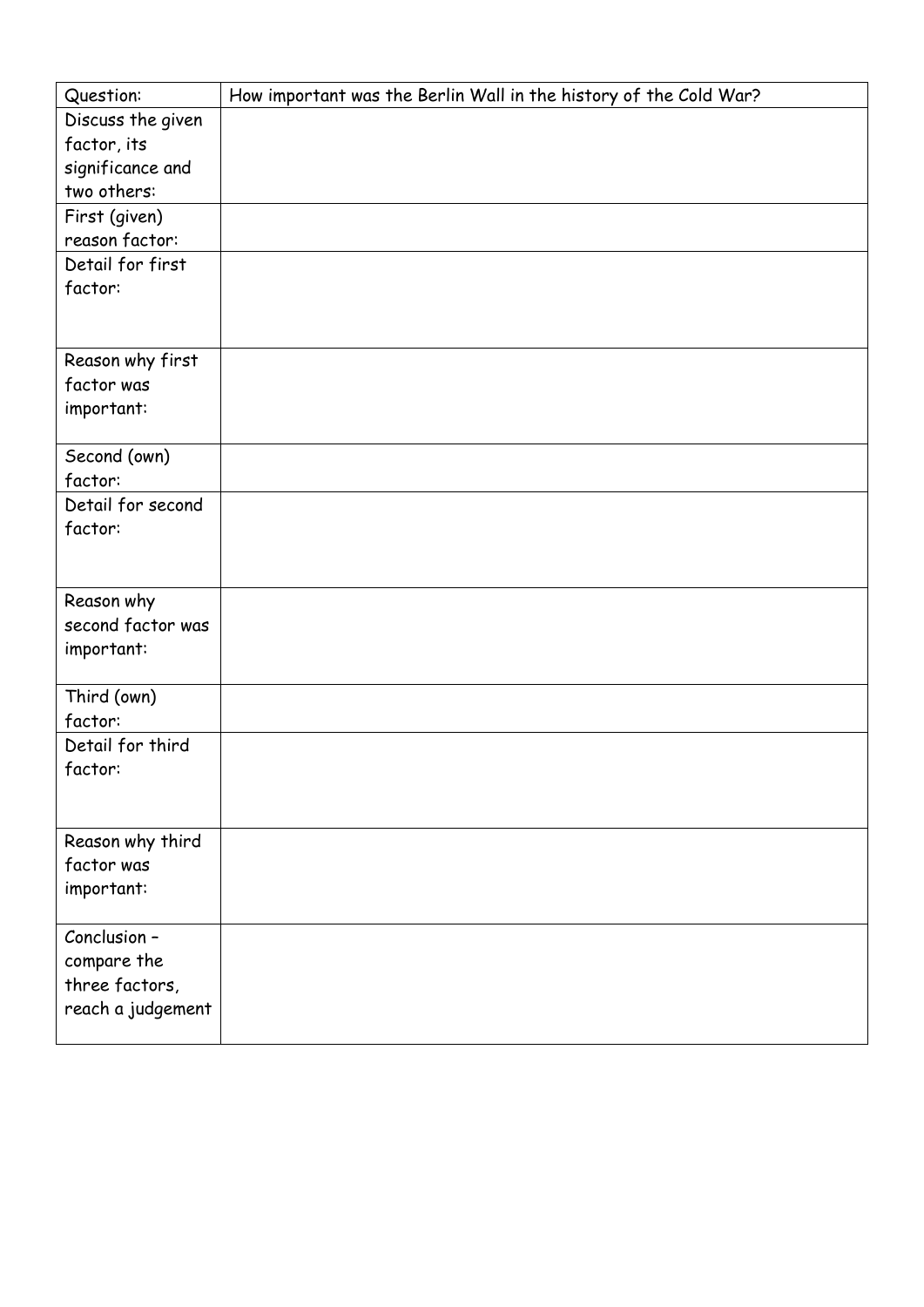| Question:              | How important was the Berlin Wall in the history of the Cold War? |
|------------------------|-------------------------------------------------------------------|
| Discuss the given      |                                                                   |
| factor, its            |                                                                   |
| significance and       |                                                                   |
| two others:            |                                                                   |
| First (given)          |                                                                   |
| reason factor:         |                                                                   |
| Detail for first       |                                                                   |
| factor:                |                                                                   |
|                        |                                                                   |
|                        |                                                                   |
| Reason why first       |                                                                   |
| factor was             |                                                                   |
| important:             |                                                                   |
|                        |                                                                   |
| Second (own)           |                                                                   |
| factor:                |                                                                   |
| Detail for second      |                                                                   |
| factor:                |                                                                   |
|                        |                                                                   |
|                        |                                                                   |
| Reason why             |                                                                   |
| second factor was      |                                                                   |
| important:             |                                                                   |
|                        |                                                                   |
| Third (own)<br>factor: |                                                                   |
| Detail for third       |                                                                   |
| factor:                |                                                                   |
|                        |                                                                   |
|                        |                                                                   |
| Reason why third       |                                                                   |
| factor was             |                                                                   |
| important:             |                                                                   |
|                        |                                                                   |
| Conclusion -           |                                                                   |
| compare the            |                                                                   |
| three factors,         |                                                                   |
| reach a judgement      |                                                                   |
|                        |                                                                   |